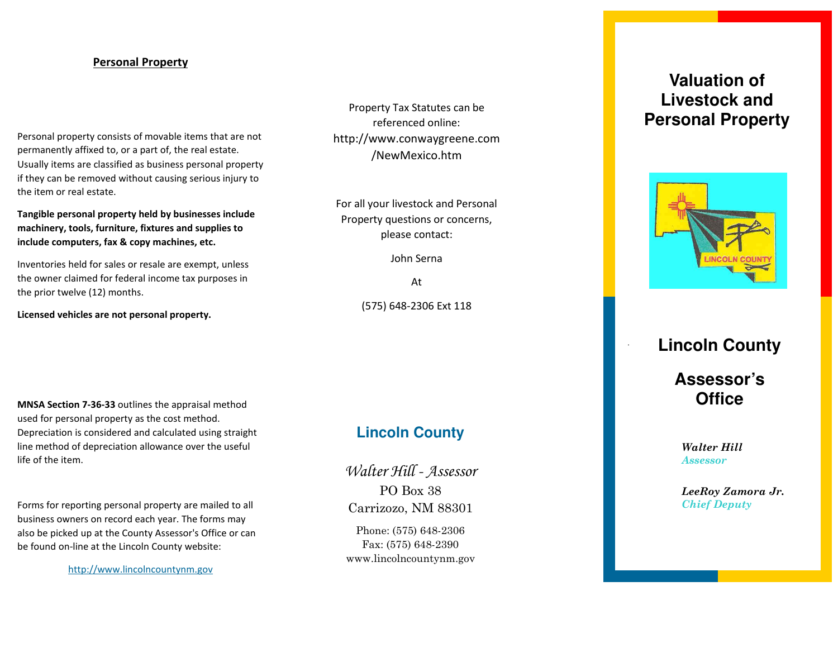#### **Personal Property**

Personal property consists of movable items that are not permanently affixed to, or a part of, the real estate. Usually items are classified as business personal property if they can be removed without causing serious injury to the item or real estate.

**Tangible personal property held by businesses include machinery, tools, furniture, fixtures and supplies to include computers, fax & copy machines, etc.**

Inventories held for sales or resale are exempt, unless the owner claimed for federal income tax purposes in the prior twelve (12) months.

**Licensed vehicles are not personal property.**

Property Tax Statutes can be referenced online: http://www.conwaygreene.com /NewMexico.htm

For all your livestock and Personal Property questions or concerns, please contact:

John Serna

At (575) 648 -2306 Ext 118

**MNSA Section 7 -36 -33** outlines the appraisal method used for personal property as the cost method. Depreciation is considered and calculated using straight line method of depreciation allowance over the useful life of the item.

Forms for reporting personal property are mailed to all business owners on record each year. The forms may also be picked up at the County Assessor's Office or can be found on -line at the Lincoln County website:

http://www.lincolncountynm.gov

# **Lincoln County**

Walter Hill - Assessor PO Box 38 Carrizozo, NM 88301

Phone: (575) 648 -2306 Fax: (575) 648 -2390 www.lincolncountynm.gov

# **Valuation of Livestock and Personal Property**



# **Lincoln County**

**Assessor's Office** 

*Walter Hill Assessor*

*LeeRoy Zamora Jr. Chief Deputy*